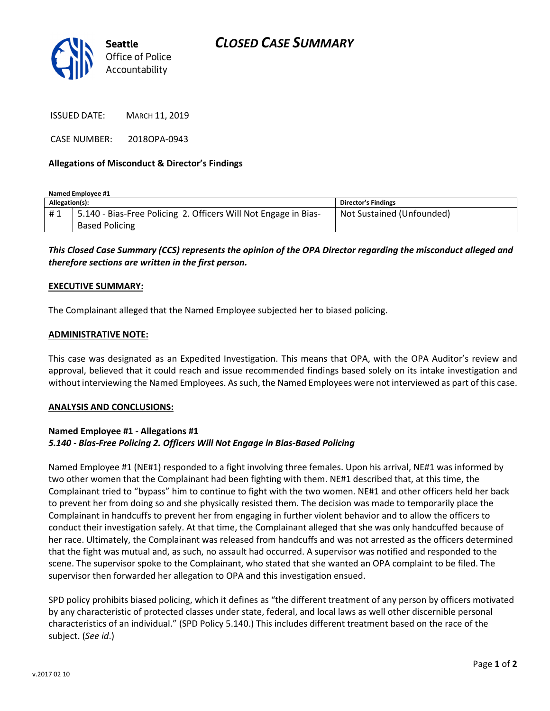

ISSUED DATE: MARCH 11, 2019

CASE NUMBER: 2018OPA-0943

## Allegations of Misconduct & Director's Findings

Named Employee #1

| Allegation(s): |                                                                 | <b>Director's Findings</b> |
|----------------|-----------------------------------------------------------------|----------------------------|
| #1             | 5.140 - Bias-Free Policing 2. Officers Will Not Engage in Bias- | Not Sustained (Unfounded)  |
|                | <b>Based Policing</b>                                           |                            |

This Closed Case Summary (CCS) represents the opinion of the OPA Director regarding the misconduct alleged and therefore sections are written in the first person.

### EXECUTIVE SUMMARY:

The Complainant alleged that the Named Employee subjected her to biased policing.

#### ADMINISTRATIVE NOTE:

This case was designated as an Expedited Investigation. This means that OPA, with the OPA Auditor's review and approval, believed that it could reach and issue recommended findings based solely on its intake investigation and without interviewing the Named Employees. As such, the Named Employees were not interviewed as part of this case.

#### ANALYSIS AND CONCLUSIONS:

# Named Employee #1 - Allegations #1 5.140 - Bias-Free Policing 2. Officers Will Not Engage in Bias-Based Policing

Named Employee #1 (NE#1) responded to a fight involving three females. Upon his arrival, NE#1 was informed by two other women that the Complainant had been fighting with them. NE#1 described that, at this time, the Complainant tried to "bypass" him to continue to fight with the two women. NE#1 and other officers held her back to prevent her from doing so and she physically resisted them. The decision was made to temporarily place the Complainant in handcuffs to prevent her from engaging in further violent behavior and to allow the officers to conduct their investigation safely. At that time, the Complainant alleged that she was only handcuffed because of her race. Ultimately, the Complainant was released from handcuffs and was not arrested as the officers determined that the fight was mutual and, as such, no assault had occurred. A supervisor was notified and responded to the scene. The supervisor spoke to the Complainant, who stated that she wanted an OPA complaint to be filed. The supervisor then forwarded her allegation to OPA and this investigation ensued.

SPD policy prohibits biased policing, which it defines as "the different treatment of any person by officers motivated by any characteristic of protected classes under state, federal, and local laws as well other discernible personal characteristics of an individual." (SPD Policy 5.140.) This includes different treatment based on the race of the subject. (See id.)